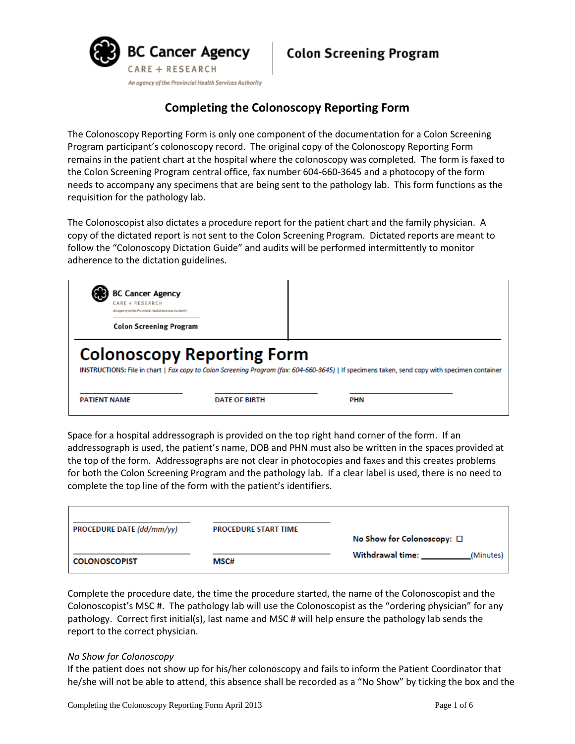

# **Completing the Colonoscopy Reporting Form**

The Colonoscopy Reporting Form is only one component of the documentation for a Colon Screening Program participant's colonoscopy record. The original copy of the Colonoscopy Reporting Form remains in the patient chart at the hospital where the colonoscopy was completed. The form is faxed to the Colon Screening Program central office, fax number 604-660-3645 and a photocopy of the form needs to accompany any specimens that are being sent to the pathology lab. This form functions as the requisition for the pathology lab.

The Colonoscopist also dictates a procedure report for the patient chart and the family physician. A copy of the dictated report is not sent to the Colon Screening Program. Dictated reports are meant to follow the "Colonoscopy Dictation Guide" and audits will be performed intermittently to monitor adherence to the dictation guidelines.

| <b>BC Cancer Agency</b><br>CARE + RESEARCH<br>An egency of the Previocial Hackh Services Authority |                                                                                                                                                                                    |  |  |  |
|----------------------------------------------------------------------------------------------------|------------------------------------------------------------------------------------------------------------------------------------------------------------------------------------|--|--|--|
| <b>Colon Screening Program</b>                                                                     |                                                                                                                                                                                    |  |  |  |
|                                                                                                    |                                                                                                                                                                                    |  |  |  |
|                                                                                                    | <b>Colonoscopy Reporting Form</b><br>INSTRUCTIONS: File in chart   Fax copy to Colon Screening Program (fax: 604-660-3645)   If specimens taken, send copy with specimen container |  |  |  |

Space for a hospital addressograph is provided on the top right hand corner of the form. If an addressograph is used, the patient's name, DOB and PHN must also be written in the spaces provided at the top of the form. Addressographs are not clear in photocopies and faxes and this creates problems for both the Colon Screening Program and the pathology lab. If a clear label is used, there is no need to complete the top line of the form with the patient's identifiers.

| <b>PROCEDURE DATE (dd/mm/yy)</b> | <b>PROCEDURE START TIME</b> |                                    |
|----------------------------------|-----------------------------|------------------------------------|
|                                  |                             | No Show for Colonoscopy: $\square$ |
|                                  |                             | Withdrawal time:<br>(Minutes)      |
| <b>COLONOSCOPIST</b>             | MSC#                        |                                    |
|                                  |                             |                                    |

Complete the procedure date, the time the procedure started, the name of the Colonoscopist and the Colonoscopist's MSC #. The pathology lab will use the Colonoscopist as the "ordering physician" for any pathology. Correct first initial(s), last name and MSC # will help ensure the pathology lab sends the report to the correct physician.

## *No Show for Colonoscopy*

If the patient does not show up for his/her colonoscopy and fails to inform the Patient Coordinator that he/she will not be able to attend, this absence shall be recorded as a "No Show" by ticking the box and the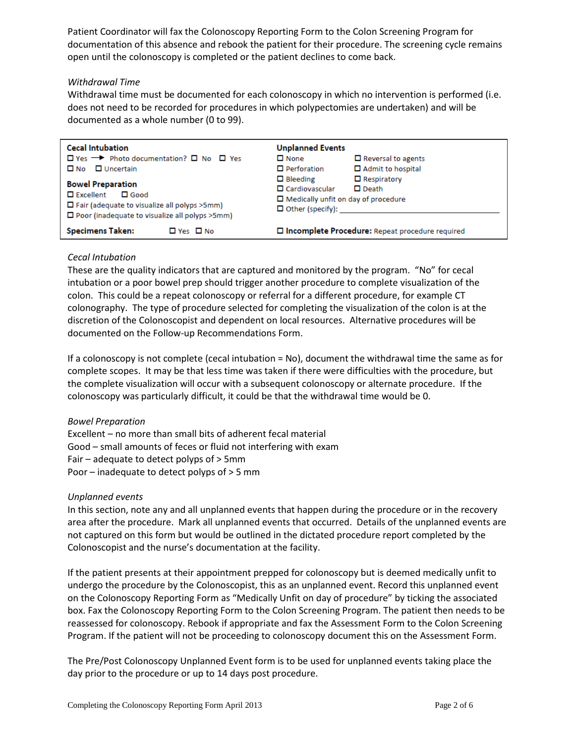Patient Coordinator will fax the Colonoscopy Reporting Form to the Colon Screening Program for documentation of this absence and rebook the patient for their procedure. The screening cycle remains open until the colonoscopy is completed or the patient declines to come back.

## *Withdrawal Time*

Withdrawal time must be documented for each colonoscopy in which no intervention is performed (i.e. does not need to be recorded for procedures in which polypectomies are undertaken) and will be documented as a whole number (0 to 99).

| <b>Cecal Intubation</b><br>$\Box$ Yes $\rightarrow$ Photo documentation? $\Box$ No $\Box$ Yes<br>$\Box$ No $\Box$ Uncertain<br><b>Bowel Preparation</b><br>$\Box$ Excellent<br>$\Box$ Good<br>$\Box$ Fair (adequate to visualize all polyps $>5$ mm)<br>$\Box$ Poor (inadequate to visualize all polyps $>5$ mm) | <b>Unplanned Events</b><br>$\square$ None<br>$\Box$ Reversal to agents<br>$\Box$ Perforation<br>□ Admit to hospital<br>$\Box$ Respiratory<br>$\Box$ Bleeding<br>$\Box$ Cardiovascular<br>$\Box$ Death<br>$\Box$ Medically unfit on day of procedure |
|------------------------------------------------------------------------------------------------------------------------------------------------------------------------------------------------------------------------------------------------------------------------------------------------------------------|-----------------------------------------------------------------------------------------------------------------------------------------------------------------------------------------------------------------------------------------------------|
| <b>Specimens Taken:</b><br>$\Box$ Yes $\Box$ No                                                                                                                                                                                                                                                                  | □ Incomplete Procedure: Repeat procedure required                                                                                                                                                                                                   |

## *Cecal Intubation*

These are the quality indicators that are captured and monitored by the program. "No" for cecal intubation or a poor bowel prep should trigger another procedure to complete visualization of the colon. This could be a repeat colonoscopy or referral for a different procedure, for example CT colonography. The type of procedure selected for completing the visualization of the colon is at the discretion of the Colonoscopist and dependent on local resources. Alternative procedures will be documented on the Follow-up Recommendations Form.

If a colonoscopy is not complete (cecal intubation = No), document the withdrawal time the same as for complete scopes. It may be that less time was taken if there were difficulties with the procedure, but the complete visualization will occur with a subsequent colonoscopy or alternate procedure. If the colonoscopy was particularly difficult, it could be that the withdrawal time would be 0.

## *Bowel Preparation*

Excellent – no more than small bits of adherent fecal material Good – small amounts of feces or fluid not interfering with exam Fair – adequate to detect polyps of > 5mm Poor – inadequate to detect polyps of > 5 mm

## *Unplanned events*

In this section, note any and all unplanned events that happen during the procedure or in the recovery area after the procedure. Mark all unplanned events that occurred. Details of the unplanned events are not captured on this form but would be outlined in the dictated procedure report completed by the Colonoscopist and the nurse's documentation at the facility.

If the patient presents at their appointment prepped for colonoscopy but is deemed medically unfit to undergo the procedure by the Colonoscopist, this as an unplanned event. Record this unplanned event on the Colonoscopy Reporting Form as "Medically Unfit on day of procedure" by ticking the associated box. Fax the Colonoscopy Reporting Form to the Colon Screening Program. The patient then needs to be reassessed for colonoscopy. Rebook if appropriate and fax the Assessment Form to the Colon Screening Program. If the patient will not be proceeding to colonoscopy document this on the Assessment Form.

The Pre/Post Colonoscopy Unplanned Event form is to be used for unplanned events taking place the day prior to the procedure or up to 14 days post procedure.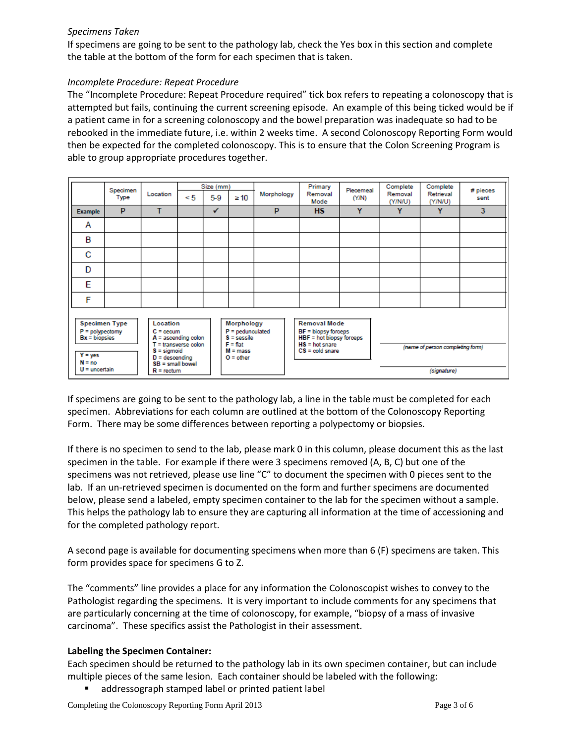## *Specimens Taken*

If specimens are going to be sent to the pathology lab, check the Yes box in this section and complete the table at the bottom of the form for each specimen that is taken.

#### *Incomplete Procedure: Repeat Procedure*

The "Incomplete Procedure: Repeat Procedure required" tick box refers to repeating a colonoscopy that is attempted but fails, continuing the current screening episode. An example of this being ticked would be if a patient came in for a screening colonoscopy and the bowel preparation was inadequate so had to be rebooked in the immediate future, i.e. within 2 weeks time. A second Colonoscopy Reporting Form would then be expected for the completed colonoscopy. This is to ensure that the Colon Screening Program is able to group appropriate procedures together.

|                                                                                                                                                                                                                                                                                                                                | Specimen |              |                                                                                                                         | Size (mm) |           |                                  | Primary         | Piecemeal | Complete           | Complete             | # pieces |
|--------------------------------------------------------------------------------------------------------------------------------------------------------------------------------------------------------------------------------------------------------------------------------------------------------------------------------|----------|--------------|-------------------------------------------------------------------------------------------------------------------------|-----------|-----------|----------------------------------|-----------------|-----------|--------------------|----------------------|----------|
|                                                                                                                                                                                                                                                                                                                                | Type     | Location     | $\leq 5$                                                                                                                | 5-9       | $\geq 10$ | Morphology                       | Removal<br>Mode | (YM)      | Removal<br>(Y/N/U) | Retrieval<br>(Y/N/U) | sent     |
| <b>Example</b>                                                                                                                                                                                                                                                                                                                 | P        | т            |                                                                                                                         | ✓         |           | P                                | <b>HS</b>       | Y         | Y                  | Y                    | 3        |
| A                                                                                                                                                                                                                                                                                                                              |          |              |                                                                                                                         |           |           |                                  |                 |           |                    |                      |          |
| B                                                                                                                                                                                                                                                                                                                              |          |              |                                                                                                                         |           |           |                                  |                 |           |                    |                      |          |
| С                                                                                                                                                                                                                                                                                                                              |          |              |                                                                                                                         |           |           |                                  |                 |           |                    |                      |          |
| D                                                                                                                                                                                                                                                                                                                              |          |              |                                                                                                                         |           |           |                                  |                 |           |                    |                      |          |
| F                                                                                                                                                                                                                                                                                                                              |          |              |                                                                                                                         |           |           |                                  |                 |           |                    |                      |          |
| F                                                                                                                                                                                                                                                                                                                              |          |              |                                                                                                                         |           |           |                                  |                 |           |                    |                      |          |
| <b>Specimen Type</b><br>Morphology<br>Location<br>$P = polypectomy$<br>$P =$ pedunculated<br>$C =$ cecum<br>$S =$ sessile<br>$A =$ ascending colon<br>$Bx = biopsies$<br>$T =$ transverse colon<br>$F = flat$<br>$S =$ sigmoid<br>$M = mass$<br>$Y = yes$<br>$D =$ descending<br>$O =$ other<br>$N = no$<br>$SB =$ small bowel |          |              | <b>Removal Mode</b><br>$BF = biopy$ forceps<br>HBF = hot biopsy forceps<br>$HS = hot share$<br>$CS = \text{cold share}$ |           |           | (name of person completing form) |                 |           |                    |                      |          |
| $U =$ uncertain                                                                                                                                                                                                                                                                                                                |          | $R =$ rectum |                                                                                                                         |           |           |                                  |                 |           |                    | (signature)          |          |

If specimens are going to be sent to the pathology lab, a line in the table must be completed for each specimen. Abbreviations for each column are outlined at the bottom of the Colonoscopy Reporting Form. There may be some differences between reporting a polypectomy or biopsies.

If there is no specimen to send to the lab, please mark 0 in this column, please document this as the last specimen in the table. For example if there were 3 specimens removed (A, B, C) but one of the specimens was not retrieved, please use line "C" to document the specimen with 0 pieces sent to the lab. If an un-retrieved specimen is documented on the form and further specimens are documented below, please send a labeled, empty specimen container to the lab for the specimen without a sample. This helps the pathology lab to ensure they are capturing all information at the time of accessioning and for the completed pathology report.

A second page is available for documenting specimens when more than 6 (F) specimens are taken. This form provides space for specimens G to Z.

The "comments" line provides a place for any information the Colonoscopist wishes to convey to the Pathologist regarding the specimens. It is very important to include comments for any specimens that are particularly concerning at the time of colonoscopy, for example, "biopsy of a mass of invasive carcinoma". These specifics assist the Pathologist in their assessment.

## **Labeling the Specimen Container:**

Each specimen should be returned to the pathology lab in its own specimen container, but can include multiple pieces of the same lesion. Each container should be labeled with the following:

addressograph stamped label or printed patient label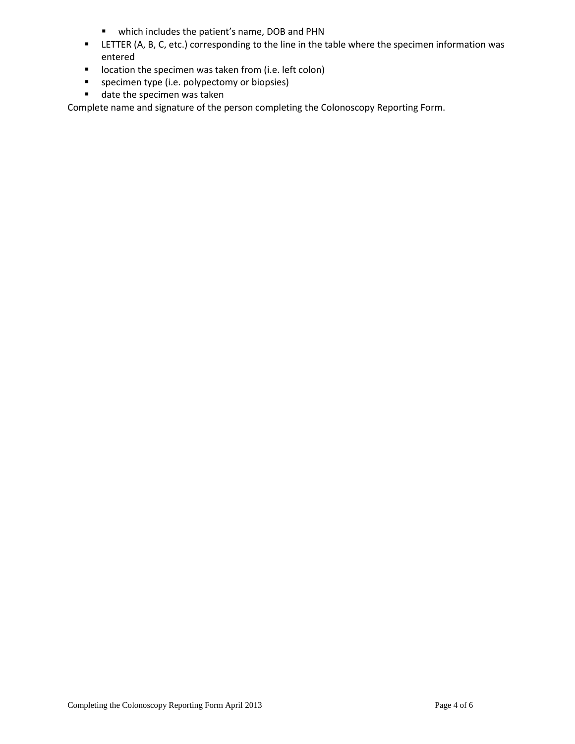- which includes the patient's name, DOB and PHN
- LETTER (A, B, C, etc.) corresponding to the line in the table where the specimen information was entered
- **I** location the specimen was taken from (i.e. left colon)
- **specimen type (i.e. polypectomy or biopsies)**
- date the specimen was taken

Complete name and signature of the person completing the Colonoscopy Reporting Form.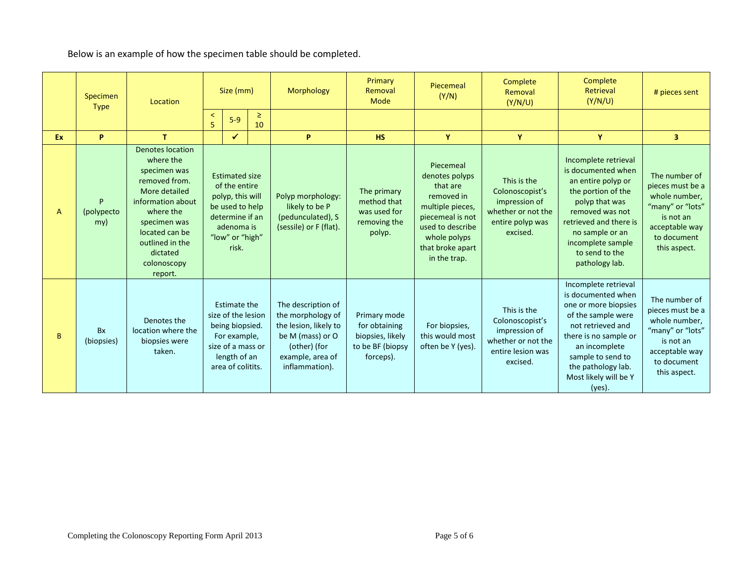Below is an example of how the specimen table should be completed.

|     | Specimen<br><b>Type</b>                                                                                                                                                    | Location                                                                                                                                                                                                            | Size (mm)                                    |                                                                                                                                            |                                                                                                                                            |                                                                                    |                                                                      | Morphology                                                                                                                                                            | Primary<br>Removal<br>Mode                                                                                                                                                                                                               | Piecemeal<br>(Y/N)                                                                                                                                                                                                                | Complete<br>Removal<br>(Y/N/U)                                                                                                       | Complete<br>Retrieval<br>(Y/N/U) | # pieces sent |
|-----|----------------------------------------------------------------------------------------------------------------------------------------------------------------------------|---------------------------------------------------------------------------------------------------------------------------------------------------------------------------------------------------------------------|----------------------------------------------|--------------------------------------------------------------------------------------------------------------------------------------------|--------------------------------------------------------------------------------------------------------------------------------------------|------------------------------------------------------------------------------------|----------------------------------------------------------------------|-----------------------------------------------------------------------------------------------------------------------------------------------------------------------|------------------------------------------------------------------------------------------------------------------------------------------------------------------------------------------------------------------------------------------|-----------------------------------------------------------------------------------------------------------------------------------------------------------------------------------------------------------------------------------|--------------------------------------------------------------------------------------------------------------------------------------|----------------------------------|---------------|
|     |                                                                                                                                                                            |                                                                                                                                                                                                                     | $\,<\,$<br>5                                 | $\geq$<br>$5-9$<br>10                                                                                                                      |                                                                                                                                            |                                                                                    |                                                                      |                                                                                                                                                                       |                                                                                                                                                                                                                                          |                                                                                                                                                                                                                                   |                                                                                                                                      |                                  |               |
| Ex. | P                                                                                                                                                                          | T.                                                                                                                                                                                                                  |                                              | $\checkmark$                                                                                                                               |                                                                                                                                            | P                                                                                  | <b>HS</b>                                                            | Y                                                                                                                                                                     | Y                                                                                                                                                                                                                                        | Y                                                                                                                                                                                                                                 | 3 <sup>1</sup>                                                                                                                       |                                  |               |
| A   | P<br>(polypecto<br>my)                                                                                                                                                     | <b>Denotes location</b><br>where the<br>specimen was<br>removed from.<br>More detailed<br>information about<br>where the<br>specimen was<br>located can be<br>outlined in the<br>dictated<br>colonoscopy<br>report. |                                              | <b>Estimated size</b><br>of the entire<br>polyp, this will<br>be used to help<br>determine if an<br>adenoma is<br>"low" or "high"<br>risk. |                                                                                                                                            | Polyp morphology:<br>likely to be P<br>(pedunculated), S<br>(sessile) or F (flat). | The primary<br>method that<br>was used for<br>removing the<br>polyp. | Piecemeal<br>denotes polyps<br>that are<br>removed in<br>multiple pieces,<br>piecemeal is not<br>used to describe<br>whole polyps<br>that broke apart<br>in the trap. | This is the<br>Colonoscopist's<br>impression of<br>whether or not the<br>entire polyp was<br>excised.                                                                                                                                    | Incomplete retrieval<br>is documented when<br>an entire polyp or<br>the portion of the<br>polyp that was<br>removed was not<br>retrieved and there is<br>no sample or an<br>incomplete sample<br>to send to the<br>pathology lab. | The number of<br>pieces must be a<br>whole number,<br>"many" or "lots"<br>is not an<br>acceptable way<br>to document<br>this aspect. |                                  |               |
| B   | size of the lesion<br>Denotes the<br>being biopsied.<br>location where the<br><b>Bx</b><br>biopsies were<br>(biopsies)<br>size of a mass or<br>taken.<br>area of colitits. |                                                                                                                                                                                                                     | Estimate the<br>For example,<br>length of an |                                                                                                                                            | The description of<br>the morphology of<br>the lesion, likely to<br>be M (mass) or O<br>(other) (for<br>example, area of<br>inflammation). | Primary mode<br>for obtaining<br>biopsies, likely<br>to be BF (biopsy<br>forceps). | For biopsies,<br>this would most<br>often be Y (yes).                | This is the<br>Colonoscopist's<br>impression of<br>whether or not the<br>entire lesion was<br>excised.                                                                | Incomplete retrieval<br>is documented when<br>one or more biopsies<br>of the sample were<br>not retrieved and<br>there is no sample or<br>an incomplete<br>sample to send to<br>the pathology lab.<br>Most likely will be Y<br>$(yes)$ . | The number of<br>pieces must be a<br>whole number,<br>"many" or "lots"<br>is not an<br>acceptable way<br>to document<br>this aspect.                                                                                              |                                                                                                                                      |                                  |               |